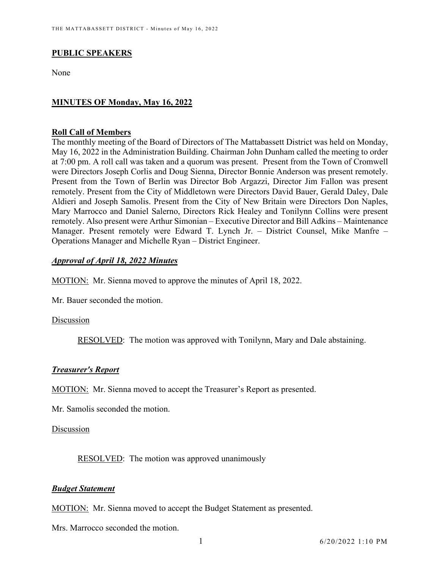# **PUBLIC SPEAKERS**

None

## **MINUTES OF Monday, May 16, 2022**

#### **Roll Call of Members**

The monthly meeting of the Board of Directors of The Mattabassett District was held on Monday, May 16, 2022 in the Administration Building. Chairman John Dunham called the meeting to order at 7:00 pm. A roll call was taken and a quorum was present. Present from the Town of Cromwell were Directors Joseph Corlis and Doug Sienna, Director Bonnie Anderson was present remotely. Present from the Town of Berlin was Director Bob Argazzi, Director Jim Fallon was present remotely. Present from the City of Middletown were Directors David Bauer, Gerald Daley, Dale Aldieri and Joseph Samolis. Present from the City of New Britain were Directors Don Naples, Mary Marrocco and Daniel Salerno, Directors Rick Healey and Tonilynn Collins were present remotely. Also present were Arthur Simonian – Executive Director and Bill Adkins – Maintenance Manager. Present remotely were Edward T. Lynch Jr. – District Counsel, Mike Manfre – Operations Manager and Michelle Ryan – District Engineer.

## *Approval of April 18, 2022 Minutes*

MOTION: Mr. Sienna moved to approve the minutes of April 18, 2022.

Mr. Bauer seconded the motion.

## Discussion

RESOLVED: The motion was approved with Tonilynn, Mary and Dale abstaining.

## *Treasurer's Report*

MOTION: Mr. Sienna moved to accept the Treasurer's Report as presented.

Mr. Samolis seconded the motion.

#### Discussion

RESOLVED: The motion was approved unanimously

## *Budget Statement*

MOTION: Mr. Sienna moved to accept the Budget Statement as presented.

Mrs. Marrocco seconded the motion.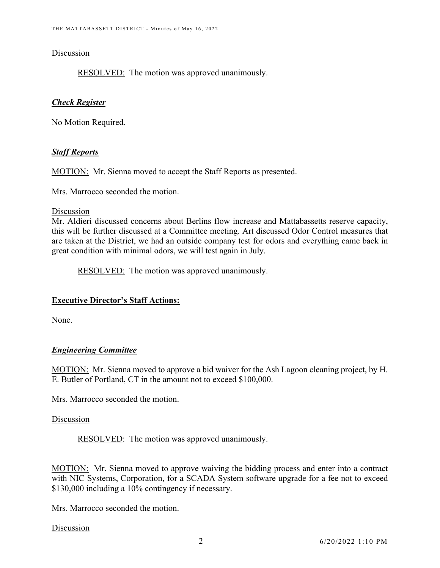#### Discussion

RESOLVED: The motion was approved unanimously.

## *Check Register*

No Motion Required.

## *Staff Reports*

MOTION: Mr. Sienna moved to accept the Staff Reports as presented.

Mrs. Marrocco seconded the motion.

#### Discussion

Mr. Aldieri discussed concerns about Berlins flow increase and Mattabassetts reserve capacity, this will be further discussed at a Committee meeting. Art discussed Odor Control measures that are taken at the District, we had an outside company test for odors and everything came back in great condition with minimal odors, we will test again in July.

RESOLVED: The motion was approved unanimously.

## **Executive Director's Staff Actions:**

None.

# *Engineering Committee*

MOTION: Mr. Sienna moved to approve a bid waiver for the Ash Lagoon cleaning project, by H. E. Butler of Portland, CT in the amount not to exceed \$100,000.

Mrs. Marrocco seconded the motion.

## Discussion

RESOLVED: The motion was approved unanimously.

MOTION: Mr. Sienna moved to approve waiving the bidding process and enter into a contract with NIC Systems, Corporation, for a SCADA System software upgrade for a fee not to exceed \$130,000 including a 10% contingency if necessary.

Mrs. Marrocco seconded the motion.

Discussion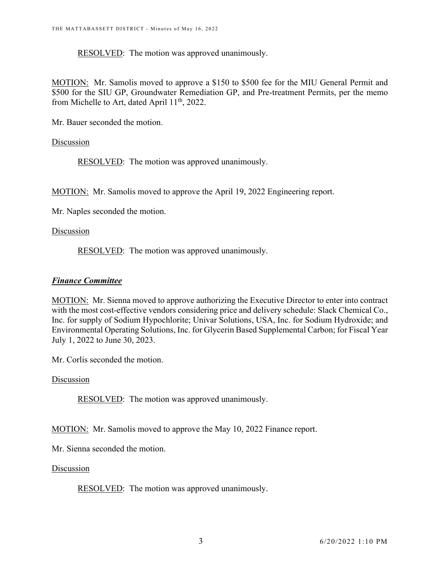RESOLVED: The motion was approved unanimously.

MOTION: Mr. Samolis moved to approve a \$150 to \$500 fee for the MIU General Permit and \$500 for the SIU GP, Groundwater Remediation GP, and Pre-treatment Permits, per the memo from Michelle to Art, dated April 11<sup>th</sup>, 2022.

Mr. Bauer seconded the motion.

Discussion

RESOLVED: The motion was approved unanimously.

MOTION: Mr. Samolis moved to approve the April 19, 2022 Engineering report.

Mr. Naples seconded the motion.

Discussion

RESOLVED: The motion was approved unanimously.

## *Finance Committee*

MOTION: Mr. Sienna moved to approve authorizing the Executive Director to enter into contract with the most cost-effective vendors considering price and delivery schedule: Slack Chemical Co., Inc. for supply of Sodium Hypochlorite; Univar Solutions, USA, Inc. for Sodium Hydroxide; and Environmental Operating Solutions, Inc. for Glycerin Based Supplemental Carbon; for Fiscal Year July 1, 2022 to June 30, 2023.

Mr. Corlis seconded the motion.

Discussion

RESOLVED: The motion was approved unanimously.

MOTION: Mr. Samolis moved to approve the May 10, 2022 Finance report.

Mr. Sienna seconded the motion.

Discussion

RESOLVED: The motion was approved unanimously.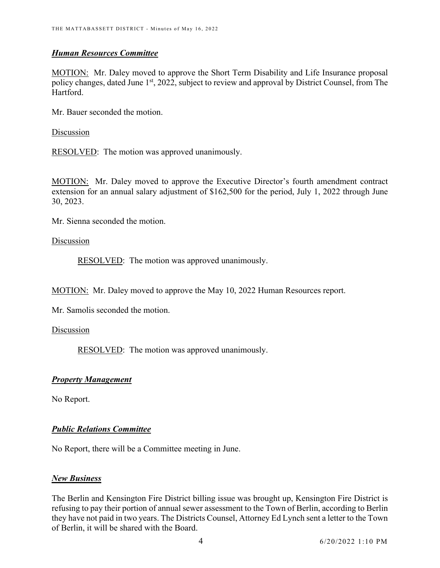## *Human Resources Committee*

MOTION: Mr. Daley moved to approve the Short Term Disability and Life Insurance proposal policy changes, dated June 1<sup>st</sup>, 2022, subject to review and approval by District Counsel, from The Hartford.

Mr. Bauer seconded the motion.

Discussion

RESOLVED: The motion was approved unanimously.

MOTION: Mr. Daley moved to approve the Executive Director's fourth amendment contract extension for an annual salary adjustment of \$162,500 for the period, July 1, 2022 through June 30, 2023.

Mr. Sienna seconded the motion.

## Discussion

RESOLVED: The motion was approved unanimously.

MOTION: Mr. Daley moved to approve the May 10, 2022 Human Resources report.

Mr. Samolis seconded the motion.

Discussion

RESOLVED: The motion was approved unanimously.

# *Property Management*

No Report.

# *Public Relations Committee*

No Report, there will be a Committee meeting in June.

## *New Business*

The Berlin and Kensington Fire District billing issue was brought up, Kensington Fire District is refusing to pay their portion of annual sewer assessment to the Town of Berlin, according to Berlin they have not paid in two years. The Districts Counsel, Attorney Ed Lynch sent a letter to the Town of Berlin, it will be shared with the Board.